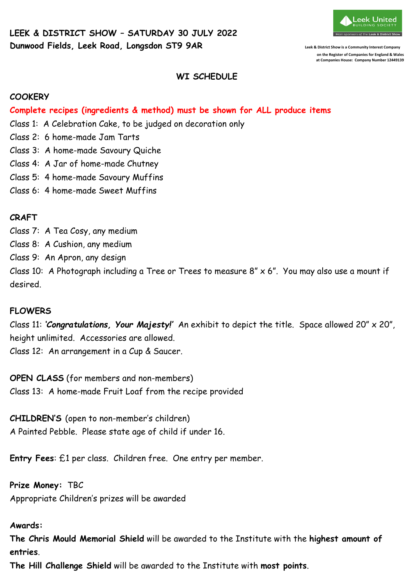

**on the Register of Companies for England & Wales at Companies House: Company Number 12449139** 

## **WI SCHEDULE**

#### **COOKERY**

**Complete recipes (ingredients & method) must be shown for ALL produce items**

- Class 1: A Celebration Cake, to be judged on decoration only
- Class 2: 6 home-made Jam Tarts
- Class 3: A home-made Savoury Quiche
- Class 4: A Jar of home-made Chutney
- Class 5: 4 home-made Savoury Muffins
- Class 6: 4 home-made Sweet Muffins

## **CRAFT**

Class 7: A Tea Cosy, any medium

- Class 8: A Cushion, any medium
- Class 9: An Apron, any design

Class 10: A Photograph including a Tree or Trees to measure  $8'' \times 6''$ . You may also use a mount if desired.

## **FLOWERS**

Class 11: *'Congratulations, Your Majesty!'* An exhibit to depict the title. Space allowed 20" x 20", height unlimited. Accessories are allowed.

Class 12: An arrangement in a Cup & Saucer.

**OPEN CLASS** (for members and non-members) Class 13: A home-made Fruit Loaf from the recipe provided

**CHILDREN'S** (open to non-member's children) A Painted Pebble. Please state age of child if under 16.

**Entry Fees**: £1 per class. Children free. One entry per member.

**Prize Money:** TBC Appropriate Children's prizes will be awarded

#### **Awards:**

**The Chris Mould Memorial Shield** will be awarded to the Institute with the **highest amount of entries**.

**The Hill Challenge Shield** will be awarded to the Institute with **most points**.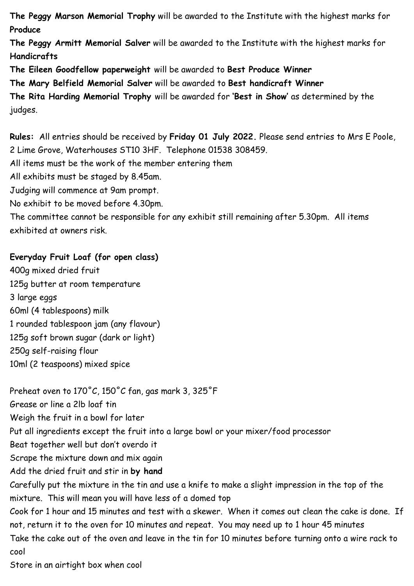**The Peggy Marson Memorial Trophy** will be awarded to the Institute with the highest marks for **Produce**

**The Peggy Armitt Memorial Salver** will be awarded to the Institute with the highest marks for **Handicrafts**

**The Eileen Goodfellow paperweight** will be awarded to **Best Produce Winner**

**The Mary Belfield Memorial Salver** will be awarded to **Best handicraft Winner**

**The Rita Harding Memorial Trophy** will be awarded for **'Best in Show'** as determined by the judges.

**Rules:** All entries should be received by **Friday 01 July 2022.** Please send entries to Mrs E Poole, 2 Lime Grove, Waterhouses ST10 3HF. Telephone 01538 308459.

All items must be the work of the member entering them

All exhibits must be staged by 8.45am.

Judging will commence at 9am prompt.

No exhibit to be moved before 4.30pm.

The committee cannot be responsible for any exhibit still remaining after 5.30pm. All items exhibited at owners risk.

# **Everyday Fruit Loaf (for open class)**

400g mixed dried fruit 125g butter at room temperature 3 large eggs 60ml (4 tablespoons) milk 1 rounded tablespoon jam (any flavour) 125g soft brown sugar (dark or light) 250g self-raising flour 10ml (2 teaspoons) mixed spice

Preheat oven to  $170^{\circ}$ C,  $150^{\circ}$ C fan, gas mark 3, 325 $^{\circ}$ F Grease or line a 2lb loaf tin Weigh the fruit in a bowl for later Put all ingredients except the fruit into a large bowl or your mixer/food processor Beat together well but don't overdo it Scrape the mixture down and mix again Add the dried fruit and stir in **by hand** Carefully put the mixture in the tin and use a knife to make a slight impression in the top of the mixture. This will mean you will have less of a domed top Cook for 1 hour and 15 minutes and test with a skewer. When it comes out clean the cake is done. If not, return it to the oven for 10 minutes and repeat. You may need up to 1 hour 45 minutes Take the cake out of the oven and leave in the tin for 10 minutes before turning onto a wire rack to cool

Store in an airtight box when cool